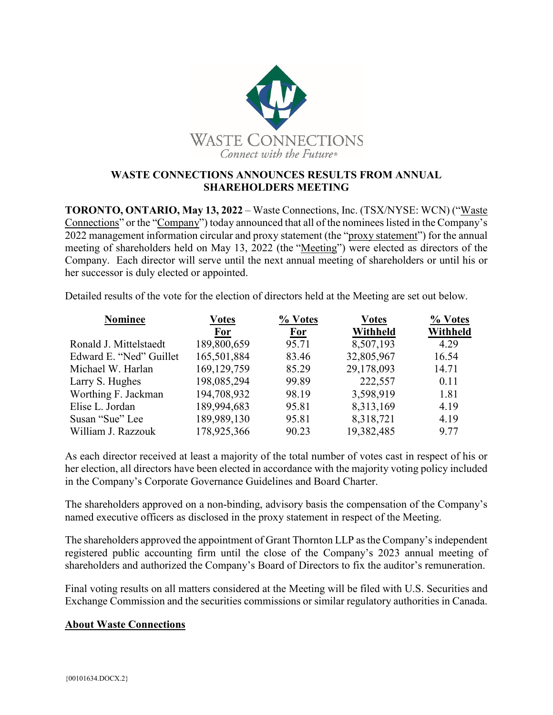

## **WASTE CONNECTIONS ANNOUNCES RESULTS FROM ANNUAL SHAREHOLDERS MEETING**

**TORONTO, ONTARIO, May 13, 2022** – Waste Connections, Inc. (TSX/NYSE: WCN) ("Waste Connections" or the "Company") today announced that all of the nominees listed in the Company's 2022 management information circular and proxy statement (the "proxy statement") for the annual meeting of shareholders held on May 13, 2022 (the "Meeting") were elected as directors of the Company. Each director will serve until the next annual meeting of shareholders or until his or her successor is duly elected or appointed.

Detailed results of the vote for the election of directors held at the Meeting are set out below.

| <b>Nominee</b>          | <b>Votes</b> | % Votes    | <b>Votes</b> | % Votes  |
|-------------------------|--------------|------------|--------------|----------|
|                         | <b>For</b>   | <b>For</b> | Withheld     | Withheld |
| Ronald J. Mittelstaedt  | 189,800,659  | 95.71      | 8,507,193    | 4.29     |
| Edward E. "Ned" Guillet | 165,501,884  | 83.46      | 32,805,967   | 16.54    |
| Michael W. Harlan       | 169,129,759  | 85.29      | 29,178,093   | 14.71    |
| Larry S. Hughes         | 198,085,294  | 99.89      | 222,557      | 0.11     |
| Worthing F. Jackman     | 194,708,932  | 98.19      | 3,598,919    | 1.81     |
| Elise L. Jordan         | 189,994,683  | 95.81      | 8,313,169    | 4.19     |
| Susan "Sue" Lee         | 189,989,130  | 95.81      | 8,318,721    | 4.19     |
| William J. Razzouk      | 178,925,366  | 90.23      | 19,382,485   | 9.77     |

As each director received at least a majority of the total number of votes cast in respect of his or her election, all directors have been elected in accordance with the majority voting policy included in the Company's Corporate Governance Guidelines and Board Charter.

The shareholders approved on a non-binding, advisory basis the compensation of the Company's named executive officers as disclosed in the proxy statement in respect of the Meeting.

The shareholders approved the appointment of Grant Thornton LLP as the Company's independent registered public accounting firm until the close of the Company's 2023 annual meeting of shareholders and authorized the Company's Board of Directors to fix the auditor's remuneration.

Final voting results on all matters considered at the Meeting will be filed with U.S. Securities and Exchange Commission and the securities commissions or similar regulatory authorities in Canada.

## **About Waste Connections**